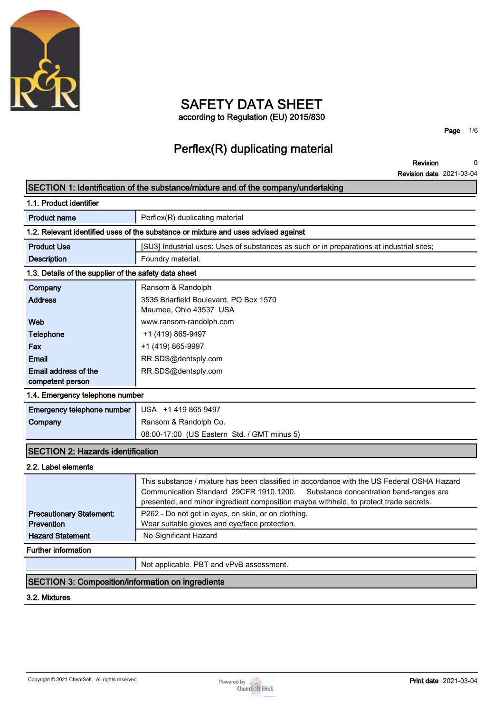

# **SAFETY DATA SHEET according to Regulation (EU) 2015/830**

**Page 1/6**

# **Perflex(R) duplicating material**

**Revision Revision date 2021-03-04 0**

# **SECTION 1: Identification of the substance/mixture and of the company/undertaking**

| 1.1. Product identifier                               |                                                                                           |  |  |
|-------------------------------------------------------|-------------------------------------------------------------------------------------------|--|--|
| <b>Product name</b>                                   | Perflex(R) duplicating material                                                           |  |  |
|                                                       | 1.2. Relevant identified uses of the substance or mixture and uses advised against        |  |  |
| <b>Product Use</b>                                    | [SU3] Industrial uses: Uses of substances as such or in preparations at industrial sites; |  |  |
| <b>Description</b>                                    | Foundry material.                                                                         |  |  |
| 1.3. Details of the supplier of the safety data sheet |                                                                                           |  |  |
| Company                                               | Ransom & Randolph                                                                         |  |  |
| <b>Address</b>                                        | 3535 Briarfield Boulevard, PO Box 1570                                                    |  |  |
|                                                       | Maumee, Ohio 43537 USA                                                                    |  |  |
| Web                                                   | www.ransom-randolph.com                                                                   |  |  |
| Telephone                                             | +1 (419) 865-9497                                                                         |  |  |
| Fax                                                   | +1 (419) 865-9997                                                                         |  |  |
| Email                                                 | RR.SDS@dentsply.com                                                                       |  |  |
| Email address of the                                  | RR.SDS@dentsply.com                                                                       |  |  |
| competent person                                      |                                                                                           |  |  |

#### **1.4. Emergency telephone number**

| Emergency telephone number   USA +1 419 865 9497 |                                             |
|--------------------------------------------------|---------------------------------------------|
| Company                                          | Ransom & Randolph Co.                       |
|                                                  | 08:00-17:00 (US Eastern Std. / GMT minus 5) |

# **SECTION 2: Hazards identification**

#### **2.2. Label elements**

|                                 | This substance / mixture has been classified in accordance with the US Federal OSHA Hazard<br>Communication Standard 29CFR 1910.1200. Substance concentration band-ranges are<br>presented, and minor ingredient composition maybe withheld, to protect trade secrets. |
|---------------------------------|------------------------------------------------------------------------------------------------------------------------------------------------------------------------------------------------------------------------------------------------------------------------|
| <b>Precautionary Statement:</b> | P262 - Do not get in eyes, on skin, or on clothing.                                                                                                                                                                                                                    |
| <b>Prevention</b>               | Wear suitable gloves and eye/face protection.                                                                                                                                                                                                                          |
| <b>Hazard Statement</b>         | No Significant Hazard                                                                                                                                                                                                                                                  |
| <b>Further information</b>      |                                                                                                                                                                                                                                                                        |
|                                 |                                                                                                                                                                                                                                                                        |

**Not applicable. PBT and vPvB assessment.**

## **SECTION 3: Composition/information on ingredients**

### **3.2. Mixtures**

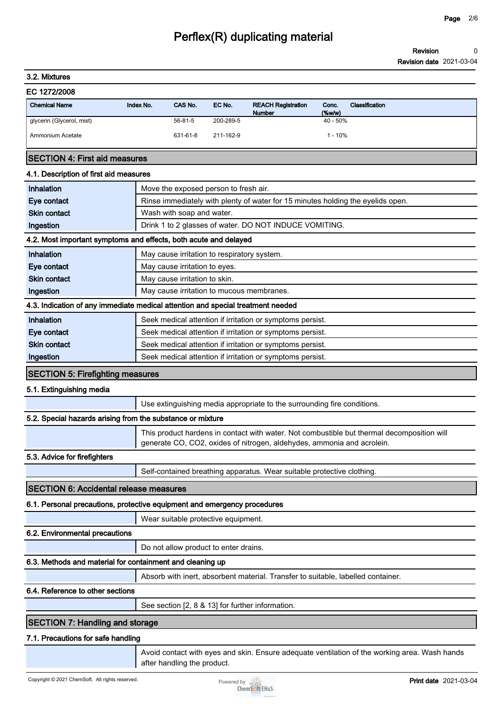**Revision Revision date 2021-03-04 0**

### **3.2. Mixtures**

| EC 1272/2008 |  |
|--------------|--|
|--------------|--|

| <b>Chemical Name</b>      | Index No. | CAS No.       | EC No.    | <b>REACH Registration</b><br><b>Number</b> | Conc.<br>$(\%w/w)$ | Classification |
|---------------------------|-----------|---------------|-----------|--------------------------------------------|--------------------|----------------|
| glycerin (Glycerol, mist) |           | $56 - 81 - 5$ | 200-289-5 |                                            | $40 - 50%$         |                |
| Ammonium Acetate          |           | 631-61-8      | 211-162-9 |                                            | $1 - 10%$          |                |

#### **SECTION 4: First aid measures**

#### **4.1. Description of first aid measures**

| Inhalation                                                 | Move the exposed person to fresh air.                                                         |
|------------------------------------------------------------|-----------------------------------------------------------------------------------------------|
| Eye contact                                                | Rinse immediately with plenty of water for 15 minutes holding the eyelids open.               |
| <b>Skin contact</b>                                        | Wash with soap and water.                                                                     |
| Ingestion                                                  | Drink 1 to 2 glasses of water. DO NOT INDUCE VOMITING.                                        |
|                                                            | 4.2. Most important symptoms and effects, both acute and delayed                              |
| Inhalation                                                 | May cause irritation to respiratory system.                                                   |
| Eye contact                                                | May cause irritation to eyes.                                                                 |
| <b>Skin contact</b>                                        | May cause irritation to skin.                                                                 |
| Ingestion                                                  | May cause irritation to mucous membranes.                                                     |
|                                                            | 4.3. Indication of any immediate medical attention and special treatment needed               |
| Inhalation                                                 | Seek medical attention if irritation or symptoms persist.                                     |
| Eye contact                                                | Seek medical attention if irritation or symptoms persist.                                     |
| <b>Skin contact</b>                                        | Seek medical attention if irritation or symptoms persist.                                     |
| Ingestion                                                  | Seek medical attention if irritation or symptoms persist.                                     |
| <b>SECTION 5: Firefighting measures</b>                    |                                                                                               |
| 5.1. Extinguishing media                                   |                                                                                               |
|                                                            | Use extinguishing media appropriate to the surrounding fire conditions.                       |
| 5.2. Special hazards arising from the substance or mixture |                                                                                               |
|                                                            | This product hardens in contact with water. Not combustible but thermal decomposition will    |
|                                                            | generate CO, CO2, oxides of nitrogen, aldehydes, ammonia and acrolein.                        |
| 5.3. Advice for firefighters                               |                                                                                               |
|                                                            | Self-contained breathing apparatus. Wear suitable protective clothing.                        |
| <b>SECTION 6: Accidental release measures</b>              |                                                                                               |
|                                                            | 6.1. Personal precautions, protective equipment and emergency procedures                      |
|                                                            | Wear suitable protective equipment.                                                           |
| 6.2. Environmental precautions                             |                                                                                               |
|                                                            | Do not allow product to enter drains.                                                         |
| 6.3. Methods and material for containment and cleaning up  |                                                                                               |
|                                                            | Absorb with inert, absorbent material. Transfer to suitable, labelled container.              |
| 6.4. Reference to other sections                           |                                                                                               |
|                                                            | See section [2, 8 & 13] for further information.                                              |
| <b>SECTION 7: Handling and storage</b>                     |                                                                                               |
| 7.1. Precautions for safe handling                         |                                                                                               |
|                                                            | Avoid contact with eyes and skin. Ensure adequate ventilation of the working area. Wash hands |

**after handling the product.**

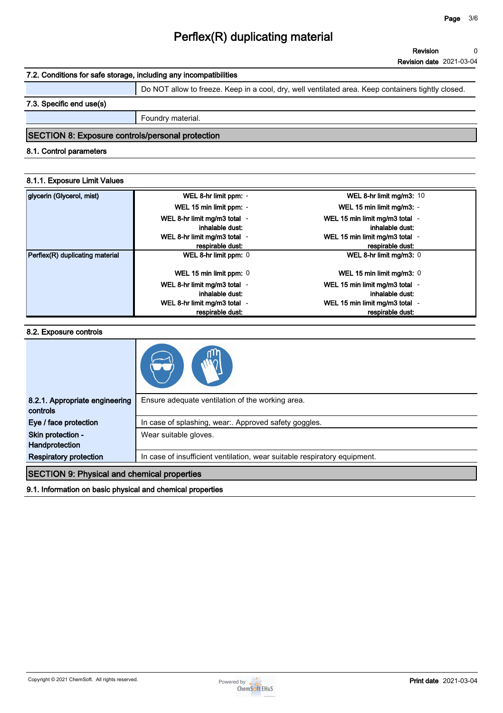# **7.2. Conditions for safe storage, including any incompatibilities**

**Do NOT allow to freeze. Keep in a cool, dry, well ventilated area. Keep containers tightly closed.**

### **7.3. Specific end use(s)**

**Foundry material.**

### **SECTION 8: Exposure controls/personal protection**

#### **8.1. Control parameters**

#### **8.1.1. Exposure Limit Values**

| glycerin (Glycerol, mist)       | WEL 8-hr limit ppm: -                            | WEL 8-hr limit mg/m3: 10                           |
|---------------------------------|--------------------------------------------------|----------------------------------------------------|
|                                 | WEL 15 min limit ppm: -                          | WEL 15 min limit mg/m3: -                          |
|                                 | WEL 8-hr limit mg/m3 total -<br>inhalable dust:  | WEL 15 min limit mg/m3 total -<br>inhalable dust:  |
|                                 | WEL 8-hr limit mg/m3 total -<br>respirable dust: | WEL 15 min limit mg/m3 total -<br>respirable dust: |
| Perflex(R) duplicating material | WEL 8-hr limit ppm: 0                            | WEL 8-hr limit mg/m3: 0                            |
|                                 | WEL 15 min limit ppm: 0                          | WEL 15 min limit mg/m3: $0$                        |
|                                 | WEL 8-hr limit mg/m3 total -<br>inhalable dust:  | WEL 15 min limit mg/m3 total -<br>inhalable dust:  |
|                                 | WEL 8-hr limit mg/m3 total -<br>respirable dust: | WEL 15 min limit mg/m3 total -<br>respirable dust: |

#### **8.2. Exposure controls**

| 8.2.1. Appropriate engineering<br>controls         | Ensure adequate ventilation of the working area.                          |
|----------------------------------------------------|---------------------------------------------------------------------------|
| Eye / face protection                              | In case of splashing, wear:. Approved safety goggles.                     |
| Skin protection -<br>Handprotection                | Wear suitable gloves.                                                     |
| <b>Respiratory protection</b>                      | In case of insufficient ventilation, wear suitable respiratory equipment. |
| <b>SECTION 9: Physical and chemical properties</b> |                                                                           |

#### **9.1. Information on basic physical and chemical properties**

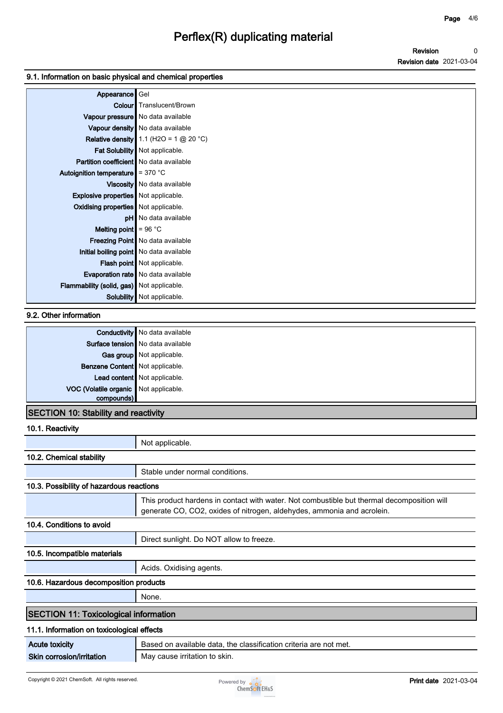### **9.1. Information on basic physical and chemical properties**

| Appearance                                       | Gel                                       |
|--------------------------------------------------|-------------------------------------------|
|                                                  | <b>Colour</b> Translucent/Brown           |
|                                                  | Vapour pressure   No data available       |
|                                                  | Vapour density   No data available        |
|                                                  | Relative density 1.1 (H2O = 1 $@$ 20 °C)  |
|                                                  | Fat Solubility Not applicable.            |
| <b>Partition coefficient</b> No data available   |                                           |
| Autoignition temperature $\parallel$ = 370 °C    |                                           |
|                                                  | Viscosity   No data available             |
| <b>Explosive properties</b> Not applicable.      |                                           |
| <b>Oxidising properties</b> Not applicable.      |                                           |
|                                                  | <b>pH</b> No data available               |
| Melting point $= 96 °C$                          |                                           |
|                                                  | Freezing Point   No data available        |
|                                                  | Initial boiling point   No data available |
|                                                  | <b>Flash point</b> Not applicable.        |
|                                                  | <b>Evaporation rate</b> No data available |
| <b>Flammability (solid, gas)</b> Not applicable. |                                           |
| Solubility                                       | Not applicable.                           |

## **9.2. Other information**

|                                       | Conductivity No data available    |
|---------------------------------------|-----------------------------------|
|                                       | Surface tension No data available |
|                                       | Gas group Not applicable.         |
| Benzene Content Not applicable.       |                                   |
|                                       | Lead content Not applicable.      |
| VOC (Volatile organic Not applicable. |                                   |
| compounds)                            |                                   |
| .                                     |                                   |

## **SECTION 10: Stability and reactivity**

#### **10.1. Reactivity**

|                                              | Not applicable.                                                                                                                                                      |
|----------------------------------------------|----------------------------------------------------------------------------------------------------------------------------------------------------------------------|
| 10.2. Chemical stability                     |                                                                                                                                                                      |
|                                              | Stable under normal conditions.                                                                                                                                      |
| 10.3. Possibility of hazardous reactions     |                                                                                                                                                                      |
|                                              | This product hardens in contact with water. Not combustible but thermal decomposition will<br>generate CO, CO2, oxides of nitrogen, aldehydes, ammonia and acrolein. |
| 10.4. Conditions to avoid                    |                                                                                                                                                                      |
|                                              | Direct sunlight. Do NOT allow to freeze.                                                                                                                             |
| 10.5. Incompatible materials                 |                                                                                                                                                                      |
|                                              | Acids. Oxidising agents.                                                                                                                                             |
| 10.6. Hazardous decomposition products       |                                                                                                                                                                      |
|                                              | None.                                                                                                                                                                |
| <b>SECTION 11: Toxicological information</b> |                                                                                                                                                                      |
| 11.1. Information on toxicological effects   |                                                                                                                                                                      |
| <b>Acute toxicity</b>                        | Based on available data, the classification criteria are not met.                                                                                                    |
| Skin corrosion/irritation                    | May cause irritation to skin.                                                                                                                                        |

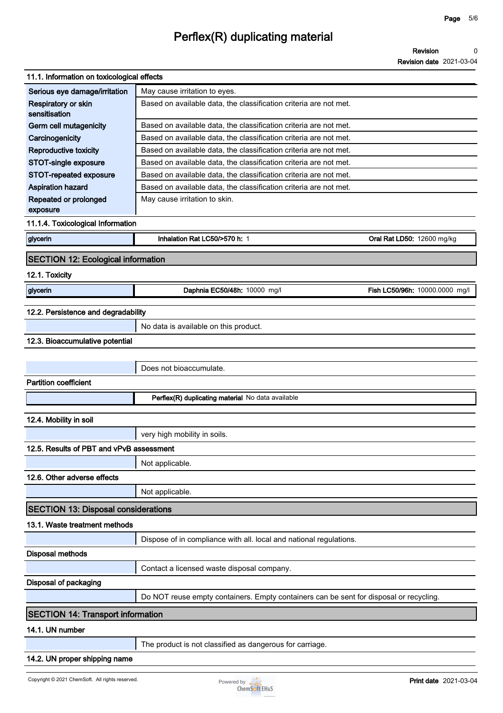**Revision Revision date 2021-03-04 0**

| 11.1. Information on toxicological effects |                                                                                        |                                |  |  |
|--------------------------------------------|----------------------------------------------------------------------------------------|--------------------------------|--|--|
| Serious eye damage/irritation              | May cause irritation to eyes.                                                          |                                |  |  |
| Respiratory or skin<br>sensitisation       | Based on available data, the classification criteria are not met.                      |                                |  |  |
| <b>Germ cell mutagenicity</b>              | Based on available data, the classification criteria are not met.                      |                                |  |  |
| Carcinogenicity                            | Based on available data, the classification criteria are not met.                      |                                |  |  |
| <b>Reproductive toxicity</b>               | Based on available data, the classification criteria are not met.                      |                                |  |  |
| STOT-single exposure                       | Based on available data, the classification criteria are not met.                      |                                |  |  |
| STOT-repeated exposure                     | Based on available data, the classification criteria are not met.                      |                                |  |  |
| <b>Aspiration hazard</b>                   | Based on available data, the classification criteria are not met.                      |                                |  |  |
| Repeated or prolonged<br>exposure          | May cause irritation to skin.                                                          |                                |  |  |
| 11.1.4. Toxicological Information          |                                                                                        |                                |  |  |
| glycerin                                   | Inhalation Rat LC50/>570 h: 1                                                          | Oral Rat LD50: 12600 mg/kg     |  |  |
| <b>SECTION 12: Ecological information</b>  |                                                                                        |                                |  |  |
| 12.1. Toxicity                             |                                                                                        |                                |  |  |
| glycerin                                   | Daphnia EC50/48h: 10000 mg/l                                                           | Fish LC50/96h: 10000.0000 mg/l |  |  |
| 12.2. Persistence and degradability        |                                                                                        |                                |  |  |
|                                            | No data is available on this product.                                                  |                                |  |  |
| 12.3. Bioaccumulative potential            |                                                                                        |                                |  |  |
|                                            |                                                                                        |                                |  |  |
|                                            | Does not bioaccumulate.                                                                |                                |  |  |
| <b>Partition coefficient</b>               |                                                                                        |                                |  |  |
|                                            | Perflex(R) duplicating material No data available                                      |                                |  |  |
| 12.4. Mobility in soil                     |                                                                                        |                                |  |  |
|                                            | very high mobility in soils.                                                           |                                |  |  |
| 12.5. Results of PBT and vPvB assessment   |                                                                                        |                                |  |  |
|                                            |                                                                                        |                                |  |  |
|                                            | Not applicable.                                                                        |                                |  |  |
| 12.6. Other adverse effects                |                                                                                        |                                |  |  |
|                                            | Not applicable.                                                                        |                                |  |  |
| <b>SECTION 13: Disposal considerations</b> |                                                                                        |                                |  |  |
| 13.1. Waste treatment methods              |                                                                                        |                                |  |  |
|                                            | Dispose of in compliance with all. local and national regulations.                     |                                |  |  |
| <b>Disposal methods</b>                    |                                                                                        |                                |  |  |
|                                            | Contact a licensed waste disposal company.                                             |                                |  |  |
| <b>Disposal of packaging</b>               |                                                                                        |                                |  |  |
|                                            | Do NOT reuse empty containers. Empty containers can be sent for disposal or recycling. |                                |  |  |
| <b>SECTION 14: Transport information</b>   |                                                                                        |                                |  |  |
| 14.1. UN number                            |                                                                                        |                                |  |  |
|                                            | The product is not classified as dangerous for carriage.                               |                                |  |  |
| 14.2. UN proper shipping name              |                                                                                        |                                |  |  |
|                                            |                                                                                        |                                |  |  |